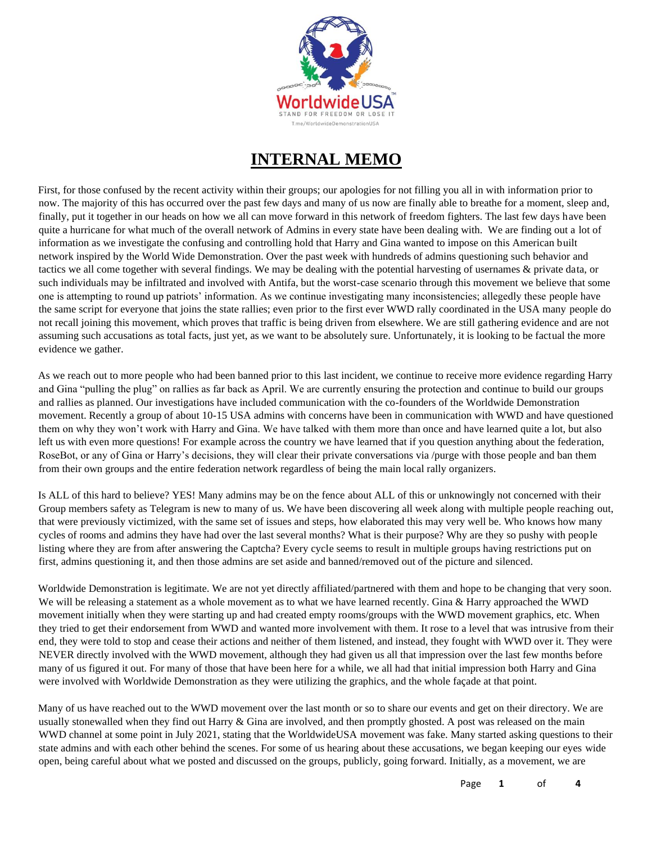

# **INTERNAL MEMO**

First, for those confused by the recent activity within their groups; our apologies for not filling you all in with information prior to now. The majority of this has occurred over the past few days and many of us now are finally able to breathe for a moment, sleep and, finally, put it together in our heads on how we all can move forward in this network of freedom fighters. The last few days have been quite a hurricane for what much of the overall network of Admins in every state have been dealing with. We are finding out a lot of information as we investigate the confusing and controlling hold that Harry and Gina wanted to impose on this American built network inspired by the World Wide Demonstration. Over the past week with hundreds of admins questioning such behavior and tactics we all come together with several findings. We may be dealing with the potential harvesting of usernames & private data, or such individuals may be infiltrated and involved with Antifa, but the worst-case scenario through this movement we believe that some one is attempting to round up patriots' information. As we continue investigating many inconsistencies; allegedly these people have the same script for everyone that joins the state rallies; even prior to the first ever WWD rally coordinated in the USA many people do not recall joining this movement, which proves that traffic is being driven from elsewhere. We are still gathering evidence and are not assuming such accusations as total facts, just yet, as we want to be absolutely sure. Unfortunately, it is looking to be factual the more evidence we gather.

As we reach out to more people who had been banned prior to this last incident, we continue to receive more evidence regarding Harry and Gina "pulling the plug" on rallies as far back as April. We are currently ensuring the protection and continue to build our groups and rallies as planned. Our investigations have included communication with the co-founders of the Worldwide Demonstration movement. Recently a group of about 10-15 USA admins with concerns have been in communication with WWD and have questioned them on why they won't work with Harry and Gina. We have talked with them more than once and have learned quite a lot, but also left us with even more questions! For example across the country we have learned that if you question anything about the federation, RoseBot, or any of Gina or Harry's decisions, they will clear their private conversations via /purge with those people and ban them from their own groups and the entire federation network regardless of being the main local rally organizers.

Is ALL of this hard to believe? YES! Many admins may be on the fence about ALL of this or unknowingly not concerned with their Group members safety as Telegram is new to many of us. We have been discovering all week along with multiple people reaching out, that were previously victimized, with the same set of issues and steps, how elaborated this may very well be. Who knows how many cycles of rooms and admins they have had over the last several months? What is their purpose? Why are they so pushy with people listing where they are from after answering the Captcha? Every cycle seems to result in multiple groups having restrictions put on first, admins questioning it, and then those admins are set aside and banned/removed out of the picture and silenced.

Worldwide Demonstration is legitimate. We are not yet directly affiliated/partnered with them and hope to be changing that very soon. We will be releasing a statement as a whole movement as to what we have learned recently. Gina & Harry approached the WWD movement initially when they were starting up and had created empty rooms/groups with the WWD movement graphics, etc. When they tried to get their endorsement from WWD and wanted more involvement with them. It rose to a level that was intrusive from their end, they were told to stop and cease their actions and neither of them listened, and instead, they fought with WWD over it. They were NEVER directly involved with the WWD movement, although they had given us all that impression over the last few months before many of us figured it out. For many of those that have been here for a while, we all had that initial impression both Harry and Gina were involved with Worldwide Demonstration as they were utilizing the graphics, and the whole façade at that point.

Many of us have reached out to the WWD movement over the last month or so to share our events and get on their directory. We are usually stonewalled when they find out Harry & Gina are involved, and then promptly ghosted. A post was released on the main WWD channel at some point in July 2021, stating that the WorldwideUSA movement was fake. Many started asking questions to their state admins and with each other behind the scenes. For some of us hearing about these accusations, we began keeping our eyes wide open, being careful about what we posted and discussed on the groups, publicly, going forward. Initially, as a movement, we are

Page **1** of **4**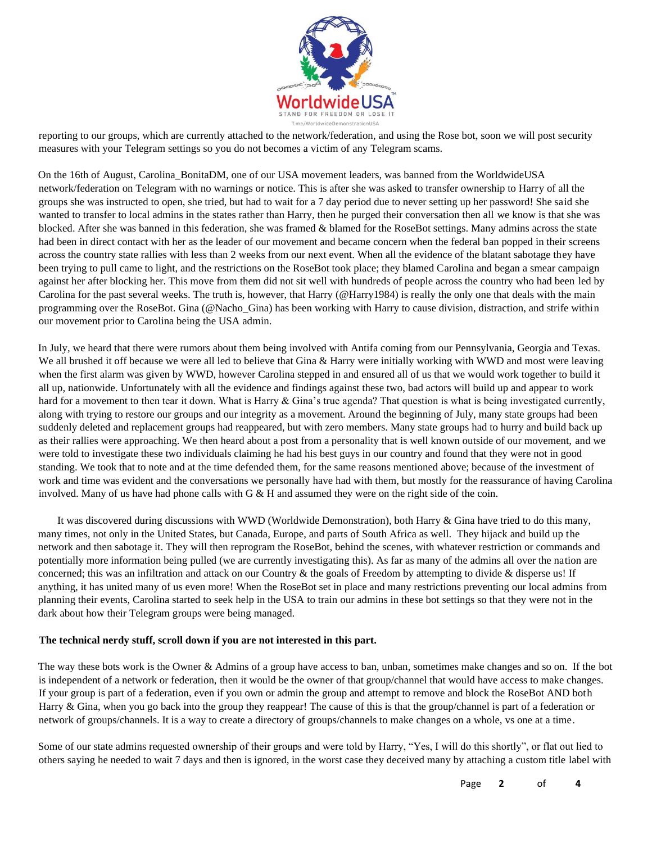

reporting to our groups, which are currently attached to the network/federation, and using the Rose bot, soon we will post security measures with your Telegram settings so you do not becomes a victim of any Telegram scams.

On the 16th of August, Carolina\_BonitaDM, one of our USA movement leaders, was banned from the WorldwideUSA network/federation on Telegram with no warnings or notice. This is after she was asked to transfer ownership to Harry of all the groups she was instructed to open, she tried, but had to wait for a 7 day period due to never setting up her password! She said she wanted to transfer to local admins in the states rather than Harry, then he purged their conversation then all we know is that she was blocked. After she was banned in this federation, she was framed & blamed for the RoseBot settings. Many admins across the state had been in direct contact with her as the leader of our movement and became concern when the federal ban popped in their screens across the country state rallies with less than 2 weeks from our next event. When all the evidence of the blatant sabotage they have been trying to pull came to light, and the restrictions on the RoseBot took place; they blamed Carolina and began a smear campaign against her after blocking her. This move from them did not sit well with hundreds of people across the country who had been led by Carolina for the past several weeks. The truth is, however, that Harry (@Harry1984) is really the only one that deals with the main programming over the RoseBot. Gina (@Nacho\_Gina) has been working with Harry to cause division, distraction, and strife within our movement prior to Carolina being the USA admin.

In July, we heard that there were rumors about them being involved with Antifa coming from our Pennsylvania, Georgia and Texas. We all brushed it off because we were all led to believe that Gina & Harry were initially working with WWD and most were leaving when the first alarm was given by WWD, however Carolina stepped in and ensured all of us that we would work together to build it all up, nationwide. Unfortunately with all the evidence and findings against these two, bad actors will build up and appear to work hard for a movement to then tear it down. What is Harry & Gina's true agenda? That question is what is being investigated currently, along with trying to restore our groups and our integrity as a movement. Around the beginning of July, many state groups had been suddenly deleted and replacement groups had reappeared, but with zero members. Many state groups had to hurry and build back up as their rallies were approaching. We then heard about a post from a personality that is well known outside of our movement, and we were told to investigate these two individuals claiming he had his best guys in our country and found that they were not in good standing. We took that to note and at the time defended them, for the same reasons mentioned above; because of the investment of work and time was evident and the conversations we personally have had with them, but mostly for the reassurance of having Carolina involved. Many of us have had phone calls with G & H and assumed they were on the right side of the coin.

It was discovered during discussions with WWD (Worldwide Demonstration), both Harry & Gina have tried to do this many, many times, not only in the United States, but Canada, Europe, and parts of South Africa as well. They hijack and build up the network and then sabotage it. They will then reprogram the RoseBot, behind the scenes, with whatever restriction or commands and potentially more information being pulled (we are currently investigating this). As far as many of the admins all over the nation are concerned; this was an infiltration and attack on our Country  $\&$  the goals of Freedom by attempting to divide  $\&$  disperse us! If anything, it has united many of us even more! When the RoseBot set in place and many restrictions preventing our local admins from planning their events, Carolina started to seek help in the USA to train our admins in these bot settings so that they were not in the dark about how their Telegram groups were being managed.

#### **The technical nerdy stuff, scroll down if you are not interested in this part.**

The way these bots work is the Owner & Admins of a group have access to ban, unban, sometimes make changes and so on. If the bot is independent of a network or federation, then it would be the owner of that group/channel that would have access to make changes. If your group is part of a federation, even if you own or admin the group and attempt to remove and block the RoseBot AND both Harry & Gina, when you go back into the group they reappear! The cause of this is that the group/channel is part of a federation or network of groups/channels. It is a way to create a directory of groups/channels to make changes on a whole, vs one at a time.

Some of our state admins requested ownership of their groups and were told by Harry, "Yes, I will do this shortly", or flat out lied to others saying he needed to wait 7 days and then is ignored, in the worst case they deceived many by attaching a custom title label with

Page **2** of **4**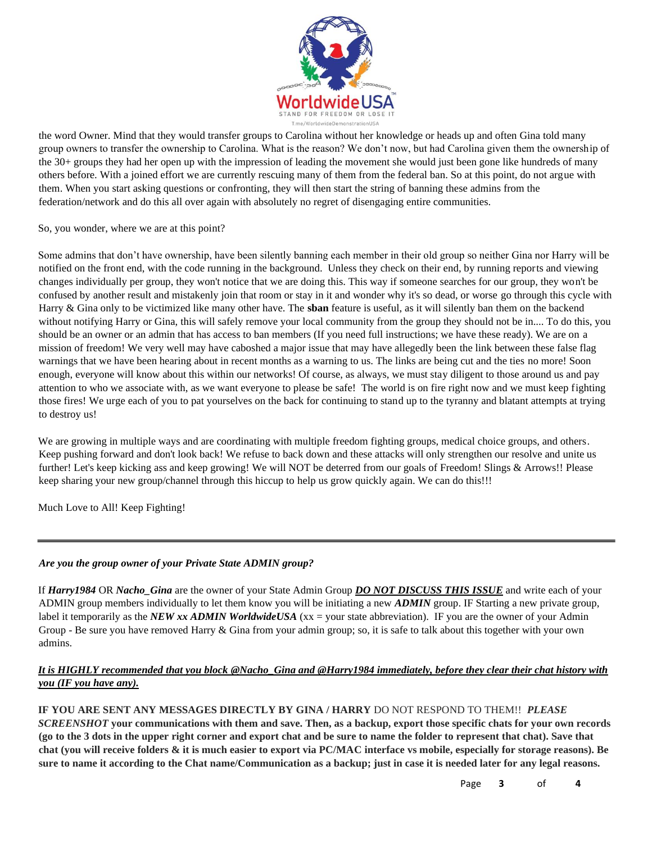

the word Owner. Mind that they would transfer groups to Carolina without her knowledge or heads up and often Gina told many group owners to transfer the ownership to Carolina. What is the reason? We don't now, but had Carolina given them the ownership of the 30+ groups they had her open up with the impression of leading the movement she would just been gone like hundreds of many others before. With a joined effort we are currently rescuing many of them from the federal ban. So at this point, do not argue with them. When you start asking questions or confronting, they will then start the string of banning these admins from the federation/network and do this all over again with absolutely no regret of disengaging entire communities.

### So, you wonder, where we are at this point?

Some admins that don't have ownership, have been silently banning each member in their old group so neither Gina nor Harry will be notified on the front end, with the code running in the background. Unless they check on their end, by running reports and viewing changes individually per group, they won't notice that we are doing this. This way if someone searches for our group, they won't be confused by another result and mistakenly join that room or stay in it and wonder why it's so dead, or worse go through this cycle with Harry & Gina only to be victimized like many other have. The **sban** feature is useful, as it will silently ban them on the backend without notifying Harry or Gina, this will safely remove your local community from the group they should not be in.... To do this, you should be an owner or an admin that has access to ban members (If you need full instructions; we have these ready). We are on a mission of freedom! We very well may have caboshed a major issue that may have allegedly been the link between these false flag warnings that we have been hearing about in recent months as a warning to us. The links are being cut and the ties no more! Soon enough, everyone will know about this within our networks! Of course, as always, we must stay diligent to those around us and pay attention to who we associate with, as we want everyone to please be safe! The world is on fire right now and we must keep fighting those fires! We urge each of you to pat yourselves on the back for continuing to stand up to the tyranny and blatant attempts at trying to destroy us!

We are growing in multiple ways and are coordinating with multiple freedom fighting groups, medical choice groups, and others. Keep pushing forward and don't look back! We refuse to back down and these attacks will only strengthen our resolve and unite us further! Let's keep kicking ass and keep growing! We will NOT be deterred from our goals of Freedom! Slings & Arrows!! Please keep sharing your new group/channel through this hiccup to help us grow quickly again. We can do this!!!

Much Love to All! Keep Fighting!

### *Are you the group owner of your Private State ADMIN group?*

If *Harry1984* OR *Nacho\_Gina* are the owner of your State Admin Group *DO NOT DISCUSS THIS ISSUE* and write each of your ADMIN group members individually to let them know you will be initiating a new *ADMIN* group. IF Starting a new private group, label it temporarily as the *NEW xx ADMIN WorldwideUSA* (xx = your state abbreviation). IF you are the owner of your Admin Group - Be sure you have removed Harry  $\&$  Gina from your admin group; so, it is safe to talk about this together with your own admins.

## *It is HIGHLY recommended that you block @Nacho\_Gina and @Harry1984 immediately, before they clear their chat history with you (IF you have any).*

### **IF YOU ARE SENT ANY MESSAGES DIRECTLY BY GINA / HARRY** DO NOT RESPOND TO THEM!!*PLEASE*

*SCREENSHOT* **your communications with them and save. Then, as a backup, export those specific chats for your own records (go to the 3 dots in the upper right corner and export chat and be sure to name the folder to represent that chat). Save that chat (you will receive folders & it is much easier to export via PC/MAC interface vs mobile, especially for storage reasons). Be sure to name it according to the Chat name/Communication as a backup; just in case it is needed later for any legal reasons.** 

Page **3** of **4**